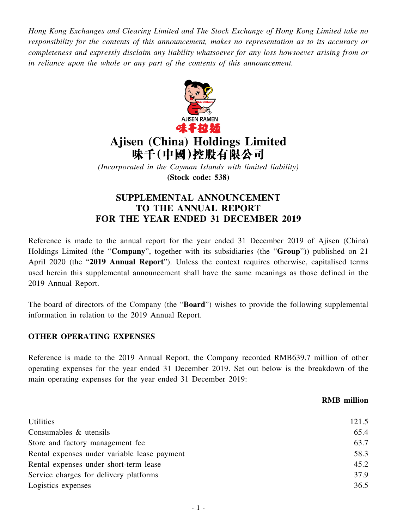*Hong Kong Exchanges and Clearing Limited and The Stock Exchange of Hong Kong Limited take no responsibility for the contents of this announcement, makes no representation as to its accuracy or completeness and expressly disclaim any liability whatsoever for any loss howsoever arising from or in reliance upon the whole or any part of the contents of this announcement.*



# **Ajisen (China) Holdings Limited** 味千(中國)控股有限公司

*(Incorporated in the Cayman Islands with limited liability)* **(Stock code: 538)**

# **SUPPLEMENTAL ANNOUNCEMENT TO THE ANNUAL REPORT FOR THE YEAR ENDED 31 DECEMBER 2019**

Reference is made to the annual report for the year ended 31 December 2019 of Ajisen (China) Holdings Limited (the "**Company**", together with its subsidiaries (the "**Group**")) published on 21 April 2020 (the "**2019 Annual Report**"). Unless the context requires otherwise, capitalised terms used herein this supplemental announcement shall have the same meanings as those defined in the 2019 Annual Report.

The board of directors of the Company (the "**Board**") wishes to provide the following supplemental information in relation to the 2019 Annual Report.

### **OTHER OPERATING EXPENSES**

Reference is made to the 2019 Annual Report, the Company recorded RMB639.7 million of other operating expenses for the year ended 31 December 2019. Set out below is the breakdown of the main operating expenses for the year ended 31 December 2019:

#### **RMB million**

| 121.5 |
|-------|
| 65.4  |
| 63.7  |
| 58.3  |
| 45.2  |
| 37.9  |
| 36.5  |
|       |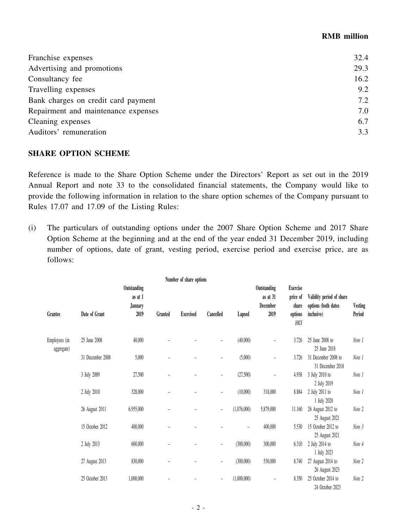#### **RMB million**

| 32.4 |
|------|
| 29.3 |
| 16.2 |
| 9.2  |
| 7.2  |
| 7.0  |
| 6.7  |
| 3.3  |
|      |

#### **SHARE OPTION SCHEME**

Reference is made to the Share Option Scheme under the Directors' Report as set out in the 2019 Annual Report and note 33 to the consolidated financial statements, the Company would like to provide the following information in relation to the share option schemes of the Company pursuant to Rules 17.07 and 17.09 of the Listing Rules:

(i) The particulars of outstanding options under the 2007 Share Option Scheme and 2017 Share Option Scheme at the beginning and at the end of the year ended 31 December 2019, including number of options, date of grant, vesting period, exercise period and exercise price, are as follows:

|                             |                  |                                                  |         | Number of share options |                          |                          |                                             |                                                         |                                                               |                   |
|-----------------------------|------------------|--------------------------------------------------|---------|-------------------------|--------------------------|--------------------------|---------------------------------------------|---------------------------------------------------------|---------------------------------------------------------------|-------------------|
| Grantee                     | Date of Grant    | Outstanding<br>as at 1<br><b>January</b><br>2019 | Granted | <b>Exercised</b>        | Cancelled                | Lapsed                   | Outstanding<br>as at 31<br>December<br>2019 | <b>Exercise</b><br>price of<br>share<br>options<br>HK\$ | Validity period of share<br>options (both dates<br>inclusive) | Vesting<br>Period |
| Employees (in<br>aggregate) | 25 June 2008     | 40,000                                           |         |                         | $\overline{\phantom{m}}$ | (40,000)                 | $\overline{\phantom{a}}$                    | 3.726                                                   | 25 June 2008 to<br>25 June 2018                               | Note 1            |
|                             | 31 December 2008 | 5,000                                            | -       |                         | ÷                        | (5,000)                  | -                                           | 3.726                                                   | 31 December 2008 to<br>31 December 2018                       | Note 1            |
|                             | 3 July 2009      | 27,500                                           | -       |                         | $\overline{\phantom{0}}$ | (27,500)                 | $\qquad \qquad -$                           | 4.938                                                   | 3 July 2010 to<br>2 July 2019                                 | Note 1            |
|                             | 2 July 2010      | 328,000                                          | -       |                         | $\overline{\phantom{0}}$ | (10,000)                 | 318,000                                     | 8.884                                                   | 2 July 2011 to<br>1 July 2020                                 | Note 1            |
|                             | 26 August 2011   | 6,955,000                                        |         |                         | $\overline{\phantom{m}}$ | (1,076,000)              | 5,879,000                                   | 11.160                                                  | 26 August 2012 to<br>25 August 2021                           | Note 2            |
|                             | 15 October 2012  | 400,000                                          |         |                         |                          | $\overline{\phantom{m}}$ | 400,000                                     | 5.530                                                   | 15 October 2012 to<br>25 August 2021                          | Note 3            |
|                             | 2 July 2013      | 600,000                                          | L       |                         | $\overline{\phantom{0}}$ | (300,000)                | 300,000                                     | 6.310                                                   | 2 July 2014 to<br>1 July 2023                                 | Note 4            |
|                             | 27 August 2013   | 830,000                                          | L       |                         | $\qquad \qquad -$        | (300,000)                | 530,000                                     | 8.740                                                   | 27 August 2014 to<br>26 August 2023                           | Note 2            |
|                             | 25 October 2013  | 1,000,000                                        |         |                         | $\overline{\phantom{a}}$ | (1,000,000)              | $\overline{\phantom{a}}$                    | 8.350                                                   | 25 October 2014 to<br>24 October 2023                         | Note 2            |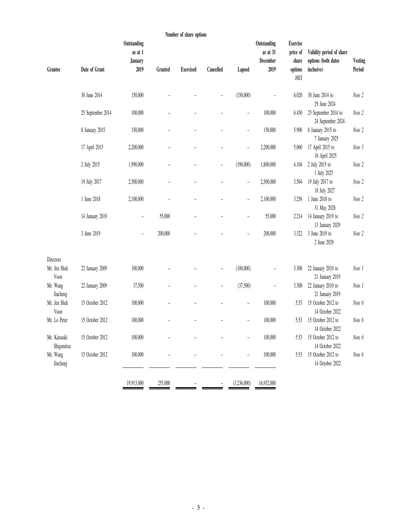|                                   |                   |                                                  |         | Number of share options |                          |                              |                                             |                                                 |                                                               |                   |
|-----------------------------------|-------------------|--------------------------------------------------|---------|-------------------------|--------------------------|------------------------------|---------------------------------------------|-------------------------------------------------|---------------------------------------------------------------|-------------------|
| Grantee                           | Date of Grant     | Outstanding<br>as at 1<br><b>January</b><br>2019 | Granted | <b>Exercised</b>        | Cancelled                | Lapsed                       | Outstanding<br>as at 31<br>December<br>2019 | <b>Exercise</b><br>price of<br>share<br>options | Validity period of share<br>options (both dates<br>inclusive) | Vesting<br>Period |
|                                   |                   |                                                  |         |                         |                          |                              |                                             | HK\$                                            |                                                               |                   |
|                                   | 30 June 2014      | 150,000                                          |         |                         |                          | (150,000)                    | ÷                                           | 6.020                                           | 30 June 2014 to<br>29 June 2024                               | Note 2            |
|                                   | 25 September 2014 | 100,000                                          |         |                         |                          | $\overline{a}$               | 100,000                                     | 6.450                                           | 25 September 2014 to<br>24 September 2024                     | Note 2            |
|                                   | 8 January 2015    | 150,000                                          |         |                         |                          | ÷,                           | 150,000                                     | 5.900                                           | 8 January 2015 to<br>7 January 2025                           | Note 2            |
|                                   | 17 April 2015     | 2,200,000                                        |         |                         |                          | $\overline{a}$               | 2,200,000                                   | 5.060                                           | 17 April 2015 to<br>16 April 2025                             | Note 5            |
|                                   | 2 July 2015       | 1,990,000                                        |         |                         | $\overline{a}$           | (190,000)                    | 1,800,000                                   | 4.104                                           | 2 July 2015 to<br>1 July 2025                                 | Note 2            |
|                                   | 19 July 2017      | 2,500,000                                        |         |                         | L,                       | $\qquad \qquad \blacksquare$ | 2,500,000                                   | 3.504                                           | 19 July 2017 to<br>18 July 2027                               | Note 2            |
|                                   | 1 June 2018       | 2,100,000                                        |         |                         |                          | ÷,                           | 2,100,000                                   | 3.256                                           | 1 June 2018 to<br>31 May 2028                                 | Note 2            |
|                                   | 14 January 2019   | $\overline{\phantom{0}}$                         | 55,000  |                         |                          | $\overline{a}$               | 55,000                                      | 2.214                                           | 14 January 2019 to<br>13 January 2029                         | Note 2            |
|                                   | 3 June 2019       | $\overline{\phantom{a}}$                         | 200,000 |                         |                          | ÷                            | 200,000                                     | 3.322                                           | 3 June 2019 to<br>2 June 2029                                 | Note 2            |
| Directors<br>Mr. Jen Shek<br>Voon | 22 January 2009   | 100,000                                          |         |                         | ÷,                       | (100,000)                    | ÷                                           | 3.308                                           | 22 January 2010 to<br>21 January 2019                         | Note 1            |
| Mr. Wang<br>Jincheng              | 22 January 2009   | 37,500                                           |         |                         | $\overline{\phantom{0}}$ | (37,500)                     | $\overline{\phantom{0}}$                    | 3.308                                           | 22 January 2010 to<br>21 January 2019                         | Note 1            |
| Mr. Jen Shek<br>Voon              | 15 October 2012   | 100,000                                          |         |                         |                          | $\overline{\phantom{0}}$     | 100,000                                     | 5.53                                            | 15 October 2012 to<br>14 October 2022                         | Note 6            |
| Mr. Lo Peter                      | 15 October 2012   | 100,000                                          |         |                         |                          | ÷                            | 100,000                                     | 5.53                                            | 15 October 2012 to<br>14 October 2022                         | Note 6            |
| Mr. Katsuaki<br>Shigemitsu        | 15 October 2012   | 100,000                                          |         |                         |                          | ۰                            | 100,000                                     | 5.53                                            | 15 October 2012 to<br>14 October 2022                         | Note 6            |
| Mr. Wang<br>Jincheng              | 15 October 2012   | 100,000                                          |         |                         |                          | ÷                            | 100,000                                     | 5.53                                            | 15 October 2012 to<br>14 October 2022                         | Note 6            |
|                                   |                   | 19,913,000                                       | 255,000 |                         |                          | (3,236,000)                  | 16,932,000                                  |                                                 |                                                               |                   |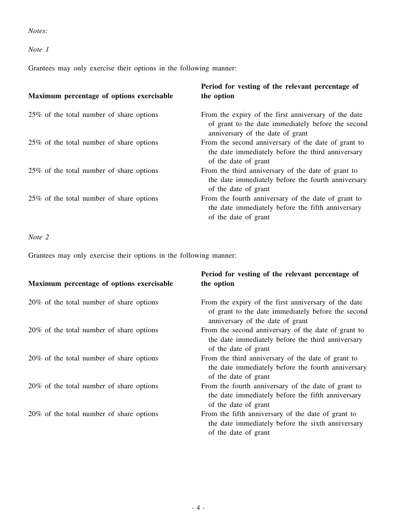#### *Notes:*

### *Note 1*

Grantees may only exercise their options in the following manner:

| Period for vesting of the relevant percentage of<br>the option                                                                                 |
|------------------------------------------------------------------------------------------------------------------------------------------------|
| From the expiry of the first anniversary of the date<br>of grant to the date immediately before the second<br>anniversary of the date of grant |
| From the second anniversary of the date of grant to<br>the date immediately before the third anniversary<br>of the date of grant               |
| From the third anniversary of the date of grant to<br>the date immediately before the fourth anniversary<br>of the date of grant               |
| From the fourth anniversary of the date of grant to<br>the date immediately before the fifth anniversary<br>of the date of grant               |
|                                                                                                                                                |

## *Note 2*

Grantees may only exercise their options in the following manner:

| Maximum percentage of options exercisable | Period for vesting of the relevant percentage of<br>the option                                                                                 |
|-------------------------------------------|------------------------------------------------------------------------------------------------------------------------------------------------|
| 20% of the total number of share options  | From the expiry of the first anniversary of the date<br>of grant to the date immediately before the second<br>anniversary of the date of grant |
| 20% of the total number of share options  | From the second anniversary of the date of grant to<br>the date immediately before the third anniversary<br>of the date of grant               |
| 20% of the total number of share options  | From the third anniversary of the date of grant to<br>the date immediately before the fourth anniversary<br>of the date of grant               |
| 20% of the total number of share options  | From the fourth anniversary of the date of grant to<br>the date immediately before the fifth anniversary<br>of the date of grant               |
| 20% of the total number of share options  | From the fifth anniversary of the date of grant to<br>the date immediately before the sixth anniversary<br>of the date of grant                |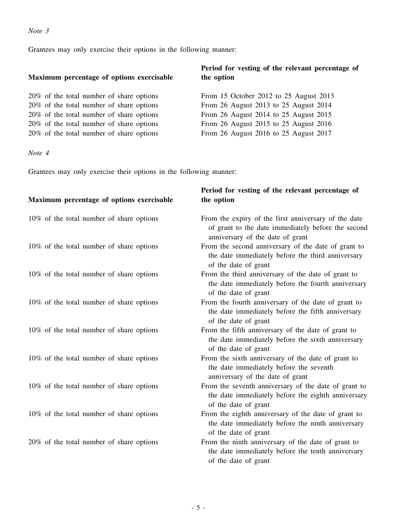#### *Note 3*

Grantees may only exercise their options in the following manner:

#### **Maximum percentage of options exercisable**

 $20\%$  of the total number of share options  $20\%$  of the total number of share options  $20\%$  of the total number of share options  $20\%$  of the total number of share options  $20\%$  of the total number of share options

## **Period for vesting of the relevant percentage of the option**

|  | From 15 October 2012 to 25 August 2013 |  |
|--|----------------------------------------|--|
|  | From 26 August 2013 to 25 August 2014  |  |
|  | From 26 August 2014 to 25 August 2015  |  |
|  | From 26 August 2015 to 25 August 2016  |  |
|  | From 26 August 2016 to 25 August 2017  |  |

*Note 4*

Grantees may only exercise their options in the following manner:

### **Maximum percentage of options exercisable Period for vesting of the relevant percentage of the option** 10% of the total number of share options From the expiry of the first anniversary of the date of grant to the date immediately before the second anniversary of the date of grant 10% of the total number of share options From the second anniversary of the date of grant to the date immediately before the third anniversary of the date of grant 10% of the total number of share options From the third anniversary of the date of grant to the date immediately before the fourth anniversary of the date of grant 10% of the total number of share options From the fourth anniversary of the date of grant to the date immediately before the fifth anniversary of the date of grant 10% of the total number of share options From the fifth anniversary of the date of grant to the date immediately before the sixth anniversary of the date of grant 10% of the total number of share options From the sixth anniversary of the date of grant to the date immediately before the seventh anniversary of the date of grant 10% of the total number of share options From the seventh anniversary of the date of grant to the date immediately before the eighth anniversary of the date of grant 10% of the total number of share options From the eighth anniversary of the date of grant to the date immediately before the ninth anniversary of the date of grant 20% of the total number of share options From the ninth anniversary of the date of grant to the date immediately before the tenth anniversary of the date of grant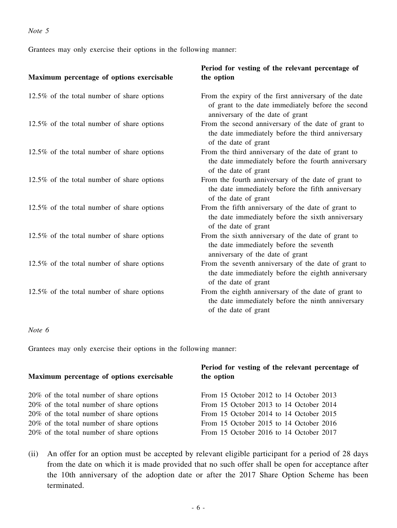Grantees may only exercise their options in the following manner:

| Maximum percentage of options exercisable     | Period for vesting of the relevant percentage of<br>the option                                                                                 |
|-----------------------------------------------|------------------------------------------------------------------------------------------------------------------------------------------------|
| 12.5% of the total number of share options    | From the expiry of the first anniversary of the date<br>of grant to the date immediately before the second<br>anniversary of the date of grant |
| 12.5% of the total number of share options    | From the second anniversary of the date of grant to<br>the date immediately before the third anniversary<br>of the date of grant               |
| $12.5\%$ of the total number of share options | From the third anniversary of the date of grant to<br>the date immediately before the fourth anniversary<br>of the date of grant               |
| 12.5% of the total number of share options    | From the fourth anniversary of the date of grant to<br>the date immediately before the fifth anniversary<br>of the date of grant               |
| 12.5% of the total number of share options    | From the fifth anniversary of the date of grant to<br>the date immediately before the sixth anniversary<br>of the date of grant                |
| 12.5% of the total number of share options    | From the sixth anniversary of the date of grant to<br>the date immediately before the seventh<br>anniversary of the date of grant              |
| 12.5% of the total number of share options    | From the seventh anniversary of the date of grant to<br>the date immediately before the eighth anniversary<br>of the date of grant             |
| 12.5% of the total number of share options    | From the eighth anniversary of the date of grant to<br>the date immediately before the ninth anniversary<br>of the date of grant               |

#### *Note 6*

Grantees may only exercise their options in the following manner:

| Maximum percentage of options exercisable | Period for vesting of the relevant percentage of<br>the option |
|-------------------------------------------|----------------------------------------------------------------|
| 20% of the total number of share options  | From 15 October 2012 to 14 October 2013                        |
| 20% of the total number of share options  | From 15 October 2013 to 14 October 2014                        |
| 20% of the total number of share options  | From 15 October 2014 to 14 October 2015                        |
| 20% of the total number of share options  | From 15 October 2015 to 14 October 2016                        |
| 20% of the total number of share options  | From 15 October 2016 to 14 October 2017                        |

(ii) An offer for an option must be accepted by relevant eligible participant for a period of 28 days from the date on which it is made provided that no such offer shall be open for acceptance after the 10th anniversary of the adoption date or after the 2017 Share Option Scheme has been terminated.